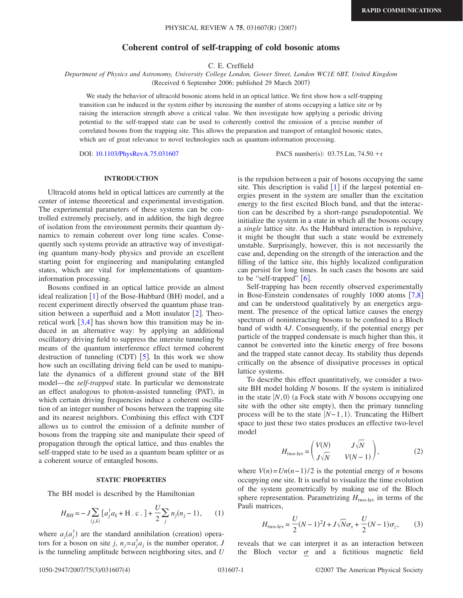# **Coherent control of self-trapping of cold bosonic atoms**

C. E. Creffield

*Department of Physics and Astronomy, University College London, Gower Street, London WC1E 6BT, United Kingdom* (Received 6 September 2006; published 29 March 2007)

We study the behavior of ultracold bosonic atoms held in an optical lattice. We first show how a self-trapping transition can be induced in the system either by increasing the number of atoms occupying a lattice site or by raising the interaction strength above a critical value. We then investigate how applying a periodic driving potential to the self-trapped state can be used to coherently control the emission of a precise number of correlated bosons from the trapping site. This allows the preparation and transport of entangled bosonic states, which are of great relevance to novel technologies such as quantum-information processing.

DOI: [10.1103/PhysRevA.75.031607](http://dx.doi.org/10.1103/PhysRevA.75.031607)

PACS number(s): 03.75.Lm, 74.50.+r

# **INTRODUCTION**

Ultracold atoms held in optical lattices are currently at the center of intense theoretical and experimental investigation. The experimental parameters of these systems can be controlled extremely precisely, and in addition, the high degree of isolation from the environment permits their quantum dynamics to remain coherent over long time scales. Consequently such systems provide an attractive way of investigating quantum many-body physics and provide an excellent starting point for engineering and manipulating entangled states, which are vital for implementations of quantuminformation processing.

Bosons confined in an optical lattice provide an almost ideal realization [[1](#page-3-0)] of the Bose-Hubbard (BH) model, and a recent experiment directly observed the quantum phase transition between a superfluid and a Mott insulator  $[2]$  $[2]$  $[2]$ . Theoretical work  $\left[3,4\right]$  $\left[3,4\right]$  $\left[3,4\right]$  $\left[3,4\right]$  has shown how this transition may be induced in an alternative way: by applying an additional oscillatory driving field to suppress the intersite tunneling by means of the quantum interference effect termed coherent destruction of tunneling  $(CDT)$  [[5](#page-3-4)]. In this work we show how such an oscillating driving field can be used to manipulate the dynamics of a different ground state of the BH model—the *self-trapped* state. In particular we demonstrate an effect analogous to photon-assisted tunneling (PAT), in which certain driving frequencies induce a coherent oscillation of an integer number of bosons between the trapping site and its nearest neighbors. Combining this effect with CDT allows us to control the emission of a definite number of bosons from the trapping site and manipulate their speed of propagation through the optical lattice, and thus enables the self-trapped state to be used as a quantum beam splitter or as a coherent source of entangled bosons.

#### **STATIC PROPERTIES**

<span id="page-0-1"></span>The BH model is described by the Hamiltonian

$$
H_{BH} = -J\sum_{\langle j,k\rangle} \left[a_j^{\dagger} a_k + \text{H.c.}\right] + \frac{U}{2} \sum_j n_j (n_j - 1), \qquad (1)
$$

where  $a_j(a_j^{\dagger})$  are the standard annihilation (creation) operators for a boson on site *j*,  $n_j = a_j^{\dagger} a_j$  is the number operator, *J* is the tunneling amplitude between neighboring sites, and *U* is the repulsion between a pair of bosons occupying the same site. This description is valid  $[1]$  $[1]$  $[1]$  if the largest potential energies present in the system are smaller than the excitation energy to the first excited Bloch band, and that the interaction can be described by a short-range pseudopotential. We initialize the system in a state in which all the bosons occupy a *single* lattice site. As the Hubbard interaction is repulsive, it might be thought that such a state would be extremely unstable. Surprisingly, however, this is not necessarily the case and, depending on the strength of the interaction and the filling of the lattice site, this highly localized configuration can persist for long times. In such cases the bosons are said to be "self-trapped"  $[6]$  $[6]$  $[6]$ .

Self-trapping has been recently observed experimentally in Bose-Einstein condensates of roughly 1000 atoms  $[7,8]$  $[7,8]$  $[7,8]$  $[7,8]$ and can be understood qualitatively by an energetics argument. The presence of the optical lattice causes the energy spectrum of noninteracting bosons to be confined to a Bloch band of width 4*J*. Consequently, if the potential energy per particle of the trapped condensate is much higher than this, it cannot be converted into the kinetic energy of free bosons and the trapped state cannot decay. Its stability thus depends critically on the absence of dissipative processes in optical lattice systems.

To describe this effect quantitatively, we consider a twosite BH model holding *N* bosons. If the system is initialized in the state  $|N,0\rangle$  (a Fock state with *N* bosons occupying one site with the other site empty), then the primary tunneling process will be to the state  $|N-1,1\rangle$ . Truncating the Hilbert space to just these two states produces an effective two-level model

$$
H_{\text{two-lev}} = \begin{pmatrix} V(N) & J\sqrt{N} \\ J\sqrt{N} & V(N-1) \end{pmatrix},\tag{2}
$$

<span id="page-0-2"></span>where  $V(n) = Un(n-1)/2$  is the potential energy of *n* bosons occupying one site. It is useful to visualize the time evolution of the system geometrically by making use of the Bloch sphere representation. Parametrizing  $H_{two-lev}$  in terms of the Pauli matrices,

$$
H_{\text{two-lev}} = \frac{U}{2}(N-1)^2 I + J\sqrt{N}\sigma_x + \frac{U}{2}(N-1)\sigma_z, \qquad (3)
$$

<span id="page-0-0"></span>reveals that we can interpret it as an interaction between the Bloch vector  $\sigma$  and a fictitious magnetic field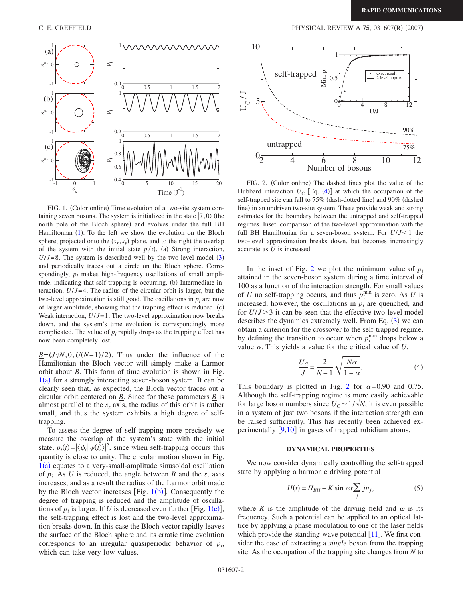<span id="page-1-0"></span>

FIG. 1. (Color online) Time evolution of a two-site system containing seven bosons. The system is initialized in the state  $|7,0\rangle$  (the north pole of the Bloch sphere) and evolves under the full BH Hamiltonian ([1](#page-0-1)). To the left we show the evolution on the Bloch sphere, projected onto the  $(s_x, s_y)$  plane, and to the right the overlap of the system with the initial state  $p_i(t)$ . (a) Strong interaction,  $U/J = 8$ . The system is described well by the two-level model  $(3)$  $(3)$  $(3)$ and periodically traces out a circle on the Bloch sphere. Correspondingly,  $p_i$  makes high-frequency oscillations of small amplitude, indicating that self-trapping is occurring. (b) Intermediate interaction,  $U/J=4$ . The radius of the circular orbit is larger, but the two-level approximation is still good. The oscillations in  $p_i$  are now of larger amplitude, showing that the trapping effect is reduced. (c) Weak interaction,  $U/J=1$ . The two-level approximation now breaks down, and the system's time evolution is correspondingly more complicated. The value of  $p_i$  rapidly drops as the trapping effect has now been completely lost.

 $\underline{B} = (J\sqrt{N},0,U(N-1)/2)$ . Thus under the influence of the Hamiltonian the Bloch vector will simply make a Larmor orbit about *B*. This form of time evolution is shown in Fig.  $1(a)$  $1(a)$  for a strongly interacting seven-boson system. It can be clearly seen that, as expected, the Bloch vector traces out a circular orbit centered on *B*. Since for these parameters *B* is almost parallel to the  $s<sub>z</sub>$  axis, the radius of this orbit is rather small, and thus the system exhibits a high degree of selftrapping.

To assess the degree of self-trapping more precisely we measure the overlap of the system's state with the initial state,  $p_i(t) = |\langle \psi_i | \psi(t) \rangle|^2$ , since when self-trapping occurs this quantity is close to unity. The circular motion shown in Fig.  $1(a)$  $1(a)$  equates to a very-small-amplitude sinusoidal oscillation of  $p_i$ . As *U* is reduced, the angle between <u>*B*</u> and the  $s_z$  axis increases, and as a result the radius of the Larmor orbit made by the Bloch vector increases [Fig.  $1(b)$  $1(b)$ ]. Consequently the degree of trapping is reduced and the amplitude of oscillations of  $p_i$  is larger. If U is decreased even further [Fig. [1](#page-1-0)(c)], the self-trapping effect is lost and the two-level approximation breaks down. In this case the Bloch vector rapidly leaves the surface of the Bloch sphere and its erratic time evolution corresponds to an irregular quasiperiodic behavior of  $p_i$ , which can take very low values.

<span id="page-1-1"></span>

FIG. 2. (Color online) The dashed lines plot the value of the Hubbard interaction  $U_C$  [Eq. ([4](#page-1-2))] at which the occupation of the self-trapped site can fall to 75% (dash-dotted line) and 90% (dashed line) in an undriven two-site system. These provide weak and strong estimates for the boundary between the untrapped and self-trapped regimes. Inset: comparison of the two-level approximation with the full BH Hamiltonian for a seven-boson system. For  $U/J < 1$  the two-level approximation breaks down, but becomes increasingly accurate as *U* is increased.

In the inset of Fig. [2](#page-1-1) we plot the minimum value of  $p_i$ attained in the seven-boson system during a time interval of 100 as a function of the interaction strength. For small values of *U* no self-trapping occurs, and thus  $p_i^{\min}$  is zero. As *U* is increased, however, the oscillations in  $p_i$  are quenched, and for  $U/J > 3$  it can be seen that the effective two-level model describes the dynamics extremely well. From Eq.  $(3)$  $(3)$  $(3)$  we can obtain a criterion for the crossover to the self-trapped regime, by defining the transition to occur when  $p_i^{\text{min}}$  drops below a value  $\alpha$ . This yields a value for the critical value of  $U$ ,

$$
\frac{U_C}{J} = \frac{2}{N-1} \sqrt{\frac{N\alpha}{1-\alpha}}.
$$
\n(4)

<span id="page-1-2"></span>This boundary is plotted in Fig. [2](#page-1-1) for  $\alpha = 0.90$  and 0.75. Although the self-trapping regime is more easily achievable for large boson numbers since  $U_C \sim 1/\sqrt{N}$ , it is even possible in a system of just two bosons if the interaction strength can be raised sufficiently. This has recently been achieved experimentally  $[9,10]$  $[9,10]$  $[9,10]$  $[9,10]$  in gases of trapped rubidium atoms.

### **DYNAMICAL PROPERTIES**

We now consider dynamically controlling the self-trapped state by applying a harmonic driving potential

$$
H(t) = H_{BH} + K \sin \omega t \sum_{j} j n_{j}, \qquad (5)
$$

where K is the amplitude of the driving field and  $\omega$  is its frequency. Such a potential can be applied to an optical lattice by applying a phase modulation to one of the laser fields which provide the standing-wave potential  $[11]$  $[11]$  $[11]$ . We first consider the case of extracting a *single* boson from the trapping site. As the occupation of the trapping site changes from *N* to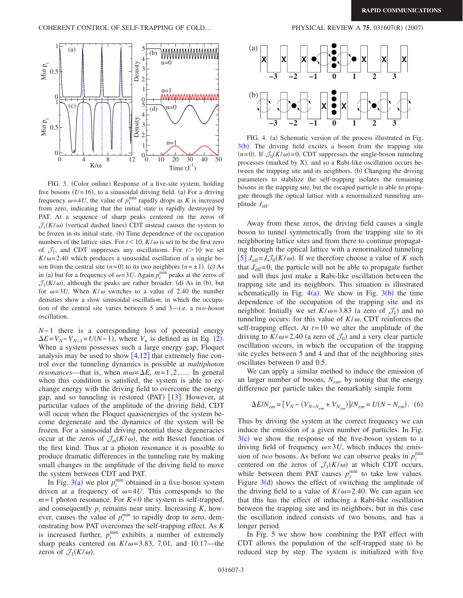<span id="page-2-0"></span>

FIG. 3. (Color online) Response of a five-site system, holding five bosons  $(U=16)$ , to a sinusoidal driving field. (a) For a driving frequency  $\omega = 4U$ , the value of  $p_i^{\min}$  rapidly drops as *K* is increased from zero, indicating that the initial state is rapidly destroyed by PAT. At a sequence of sharp peaks centered on the zeros of  $\mathcal{J}_1(K/\omega)$  (vertical dashed lines) CDT instead causes the system to be frozen in its initial state. (b) Time dependence of the occupation numbers of the lattice sites. For  $t < 10$ ,  $K/\omega$  is set to be the first zero of  $\mathcal{J}_1$ , and CDT suppresses any oscillations. For  $t > 10$  we set  $K/\omega$ = 2.40 which produces a sinusoidal oscillation of a single boson from the central site  $(n=0)$  to its two neighbors  $(n=\pm 1)$ . (c) As in (a) but for a frequency of  $\omega = 3U$ . Again  $p_i^{\text{min}}$  peaks at the zeros of  $\mathcal{J}_1(K/\omega)$ , although the peaks are rather broader. (d) As in (b), but for  $\omega = 3U$ . When  $K/\omega$  switches to a value of 2.40 the number densities show a slow sinusoidal oscillation, in which the occupation of the central site varies between 5 and 3—i.e. a *two-boson* oscillation.

*N*−1 there is a corresponding loss of potential energy  $\Delta E = V_N - V_{N-1} = U(N-1)$ , where  $V_n$  is defined as in Eq. ([2](#page-0-2)). When a system possesses such a large energy gap, Floquet analysis may be used to show  $[4,12]$  $[4,12]$  $[4,12]$  $[4,12]$  that extremely fine control over the tunneling dynamics is possible at *multiphoton resonances*—that is, when  $m\omega = \Delta E$ ,  $m=1, 2, \ldots$  In general when this condition is satisfied, the system is able to exchange energy with the driving field to overcome the energy gap, and so tunneling is restored (PAT) [[13](#page-3-12)]. However, at particular values of the amplitude of the driving field, CDT will occur when the Floquet quasienergies of the system become degenerate and the dynamics of the system will be frozen. For a sinusoidal driving potential these degeneracies occur at the zeros of  $\mathcal{J}_m(K/\omega)$ , the *m*th Bessel function of the first kind. Thus at a photon resonance it is possible to produce dramatic differences in the tunneling rate by making small changes in the amplitude of the driving field to move the system between CDT and PAT.

In Fig.  $3(a)$  $3(a)$  we plot  $p_i^{\min}$  obtained in a five-boson system driven at a frequency of  $\omega = 4U$ . This corresponds to the  $m=1$  photon resonance. For  $K=0$  the system is self-trapped, and consequently  $p_i$  remains near unity. Increasing  $K$ , however, causes the value of  $p_i^{\text{min}}$  to rapidly drop to zero, demonstrating how PAT overcomes the self-trapping effect. As *K* is increased further,  $p_i^{\text{min}}$  exhibits a number of extremely sharp peaks centered on  $K/\omega = 3.83$ , 7.01, and 10.17—the zeros of  $\mathcal{J}_1(K/\omega)$ .

<span id="page-2-1"></span>

FIG. 4. (a) Schematic version of the process illustrated in Fig.  $3(b)$  $3(b)$ . The driving field excites a boson from the trapping site  $(n=0)$ . If  $\mathcal{J}_0(K/\omega) = 0$ , CDT suppresses the single-boson tunneling processes (marked by X), and so a Rabi-like oscillation occurs between the trapping site and its neighbors. (b) Changing the driving parameters to stabilize the self-trapping isolates the remaining bosons in the trapping site, but the escaped particle is able to propagate through the optical lattice with a renormalized tunneling amplitude *J*eff.

Away from these zeros, the driving field causes a single boson to tunnel symmetrically from the trapping site to its neighboring lattice sites and from there to continue propagating through the optical lattice with a renormalized tunneling  $[5] J_{\text{eff}} = J \mathcal{J}_0(K/\omega)$  $[5] J_{\text{eff}} = J \mathcal{J}_0(K/\omega)$  $[5] J_{\text{eff}} = J \mathcal{J}_0(K/\omega)$ . If we therefore choose a value of *K* such that  $J<sub>eff</sub>=0$ , the particle will not be able to propagate further and will thus just make a Rabi-like oscillation between the trapping site and its neighbors. This situation is illustrated schematically in Fig.  $4(a)$  $4(a)$ . We show in Fig.  $3(b)$  $3(b)$  the time dependence of the occupation of the trapping site and its neighbor. Initially we set  $K/\omega = 3.83$  (a zero of  $\mathcal{J}_1$ ) and no tunneling occurs: for this value of  $K/\omega$ , CDT reinforces the self-trapping effect. At  $t=10$  we alter the amplitude of the driving to  $K/\omega = 2.40$  (a zero of  $\mathcal{J}_0$ ) and a very clear particle oscillation occurs, in which the occupation of the trapping site cycles between 5 and 4 and that of the neighboring sites oscillates between 0 and 0.5.

We can apply a similar method to induce the emission of an larger number of bosons, *Nem*, by noting that the energy difference per particle takes the remarkably simple form

$$
\Delta E/N_{em} = [V_N - (V_{N-N_{em}} + V_{N_{em}})]/N_{em} = U(N - N_{em}).
$$
 (6)

Thus by driving the system at the correct frequency we can induce the emission of a given number of particles. In Fig.  $3(c)$  $3(c)$  we show the response of the five-boson system to a driving field of frequency  $\omega = 3U$ , which induces the emission of *two* bosons. As before we can observe peaks in  $p_i^{\text{min}}$ centered on the zeros of  $\mathcal{J}_1(K/\omega)$  at which CDT occurs, while between them PAT causes  $p_i^{\min}$  to take low values. Figure  $3(d)$  $3(d)$  shows the effect of switching the amplitude of the driving field to a value of  $K/\omega = 2.40$ . We can again see that this has the effect of inducing a Rabi-like oscillation between the trapping site and its neighbors, but in this case the oscillation indeed consists of two bosons, and has a longer period.

In Fig. [5](#page-3-13) we show how combining the PAT effect with CDT allows the population of the self-trapped state to be reduced step by step. The system is initialized with five